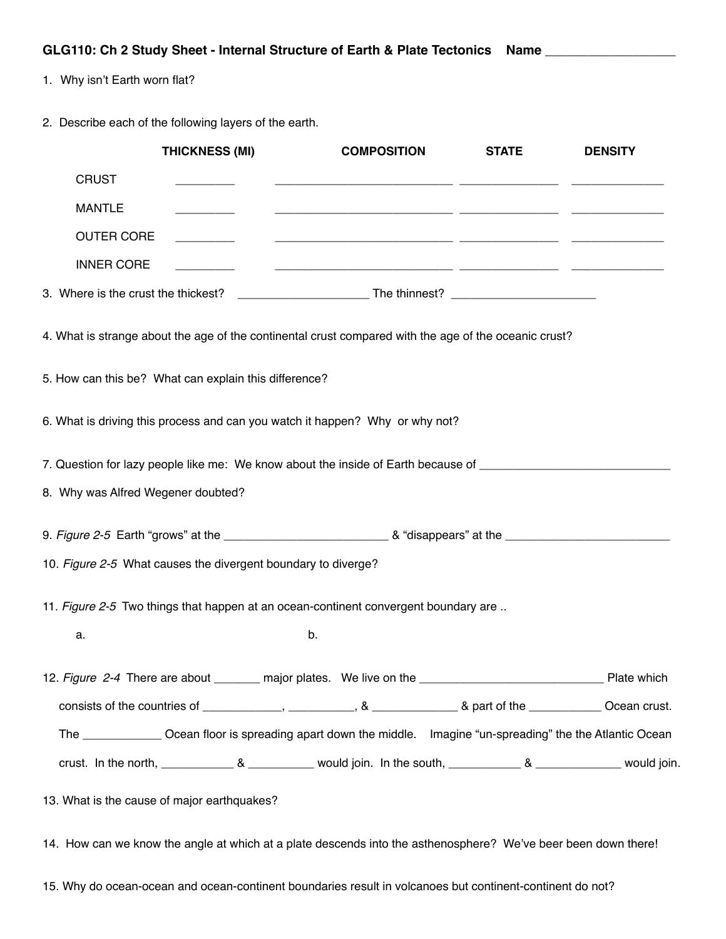1. Why isn't Earth worn flat?

2. Describe each of the following layers of the earth.

|                                    | <b>THICKNESS (MI)</b>                                                                                                                                                                                                                | <b>COMPOSITION</b>                                                                                                 | <b>STATE</b> | <b>DENSITY</b> |
|------------------------------------|--------------------------------------------------------------------------------------------------------------------------------------------------------------------------------------------------------------------------------------|--------------------------------------------------------------------------------------------------------------------|--------------|----------------|
| <b>CRUST</b>                       |                                                                                                                                                                                                                                      |                                                                                                                    |              |                |
| <b>MANTLE</b>                      |                                                                                                                                                                                                                                      |                                                                                                                    |              |                |
| <b>OUTER CORE</b>                  |                                                                                                                                                                                                                                      | <u> 2000 - Januar Alexander (h. 1888).</u><br>1900 - John Barnett, fransk kongenser (h. 1889).                     |              |                |
| <b>INNER CORE</b>                  | <u> The Community of the Community of the Community of the Community of the Community of the Community of the Community of the Community of the Community of the Community of the Community of the Community of the Community of</u> | <u> 1990 - Jan Jan James, martin al-Amerikaansk politik (d. 1980)</u>                                              |              |                |
|                                    |                                                                                                                                                                                                                                      |                                                                                                                    |              |                |
|                                    |                                                                                                                                                                                                                                      | 4. What is strange about the age of the continental crust compared with the age of the oceanic crust?              |              |                |
|                                    | 5. How can this be? What can explain this difference?                                                                                                                                                                                |                                                                                                                    |              |                |
|                                    |                                                                                                                                                                                                                                      | 6. What is driving this process and can you watch it happen? Why or why not?                                       |              |                |
|                                    |                                                                                                                                                                                                                                      | 7. Question for lazy people like me: We know about the inside of Earth because of ____________________________     |              |                |
| 8. Why was Alfred Wegener doubted? |                                                                                                                                                                                                                                      |                                                                                                                    |              |                |
|                                    |                                                                                                                                                                                                                                      |                                                                                                                    |              |                |
|                                    | 10. Figure 2-5 What causes the divergent boundary to diverge?                                                                                                                                                                        |                                                                                                                    |              |                |
|                                    |                                                                                                                                                                                                                                      | 11. Figure 2-5 Two things that happen at an ocean-continent convergent boundary are                                |              |                |
| a.                                 |                                                                                                                                                                                                                                      | b.                                                                                                                 |              |                |
|                                    |                                                                                                                                                                                                                                      |                                                                                                                    |              |                |
|                                    |                                                                                                                                                                                                                                      |                                                                                                                    |              |                |
|                                    |                                                                                                                                                                                                                                      | The ________________ Ocean floor is spreading apart down the middle. Imagine "un-spreading" the the Atlantic Ocean |              |                |
|                                    |                                                                                                                                                                                                                                      |                                                                                                                    |              |                |
|                                    | 13. What is the cause of major earthquakes?                                                                                                                                                                                          |                                                                                                                    |              |                |

14. How can we know the angle at which at a plate descends into the asthenosphere? We've beer been down there!

15. Why do ocean-ocean and ocean-continent boundaries result in volcanoes but continent-continent do not?